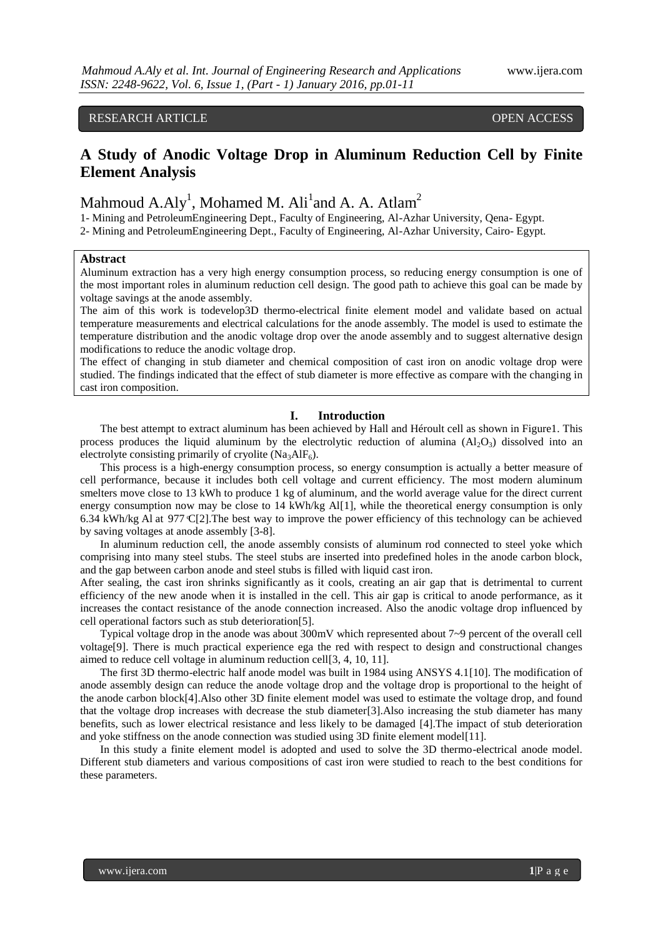# RESEARCH ARTICLE OPEN ACCESS

# **A Study of Anodic Voltage Drop in Aluminum Reduction Cell by Finite Element Analysis**

# Mahmoud A.Aly<sup>1</sup>, Mohamed M. Ali<sup>1</sup>and A. A. Atlam<sup>2</sup>

1- Mining and PetroleumEngineering Dept., Faculty of Engineering, Al-Azhar University, Qena- Egypt. 2- Mining and PetroleumEngineering Dept., Faculty of Engineering, Al-Azhar University, Cairo- Egypt.

## **Abstract**

Aluminum extraction has a very high energy consumption process, so reducing energy consumption is one of the most important roles in aluminum reduction cell design. The good path to achieve this goal can be made by voltage savings at the anode assembly.

The aim of this work is todevelop3D thermo-electrical finite element model and validate based on actual temperature measurements and electrical calculations for the anode assembly. The model is used to estimate the temperature distribution and the anodic voltage drop over the anode assembly and to suggest alternative design modifications to reduce the anodic voltage drop.

The effect of changing in stub diameter and chemical composition of cast iron on anodic voltage drop were studied. The findings indicated that the effect of stub diameter is more effective as compare with the changing in cast iron composition.

### **I. Introduction**

The best attempt to extract aluminum has been achieved by Hall and [Héroult](https://en.wikipedia.org/wiki/Paul_H%C3%A9roult) cell as shown in Figure1. This process produces the liquid aluminum by the electrolytic reduction of alumina  $(A<sub>1</sub>, O<sub>3</sub>)$  dissolved into an electrolyte consisting primarily of cryolite (Na<sub>3</sub>AlF<sub>6</sub>).

This process is a high-energy consumption process, so energy consumption is actually a better measure of cell performance, because it includes both cell voltage and current efficiency. The most modern aluminum smelters move close to 13 kWh to produce 1 kg of aluminum, and the world average value for the direct current energy consumption now may be close to 14 kWh/kg Al[1], while the theoretical energy consumption is only 6.34 kWh/kg Al at 977  $\mathbb{C}[2]$ . The best way to improve the power efficiency of this technology can be achieved by saving voltages at anode assembly [3-8].

In aluminum reduction cell, the anode assembly consists of aluminum rod connected to steel yoke which comprising into many steel stubs. The steel stubs are inserted into predefined holes in the anode carbon block, and the gap between carbon anode and steel stubs is filled with liquid cast iron.

After sealing, the cast iron shrinks significantly as it cools, creating an air gap that is detrimental to current efficiency of the new anode when it is installed in the cell. This air gap is critical to anode performance, as it increases the contact resistance of the anode connection increased. Also the anodic voltage drop influenced by cell operational factors such as stub deterioration[5].

Typical voltage drop in the anode was about 300mV which represented about 7~9 percent of the overall cell voltage[9]. There is much practical experience ega the red with respect to design and constructional changes aimed to reduce cell voltage in aluminum reduction cell[3, 4, 10, 11].

The first 3D thermo-electric half anode model was built in 1984 using ANSYS 4.1[10]. The modification of anode assembly design can reduce the anode voltage drop and the voltage drop is proportional to the height of the anode carbon block[4].Also other 3D finite element model was used to estimate the voltage drop, and found that the voltage drop increases with decrease the stub diameter[3].Also increasing the stub diameter has many benefits, such as lower electrical resistance and less likely to be damaged [4].The impact of stub deterioration and yoke stiffness on the anode connection was studied using 3D finite element model[11].

In this study a finite element model is adopted and used to solve the 3D thermo-electrical anode model. Different stub diameters and various compositions of cast iron were studied to reach to the best conditions for these parameters.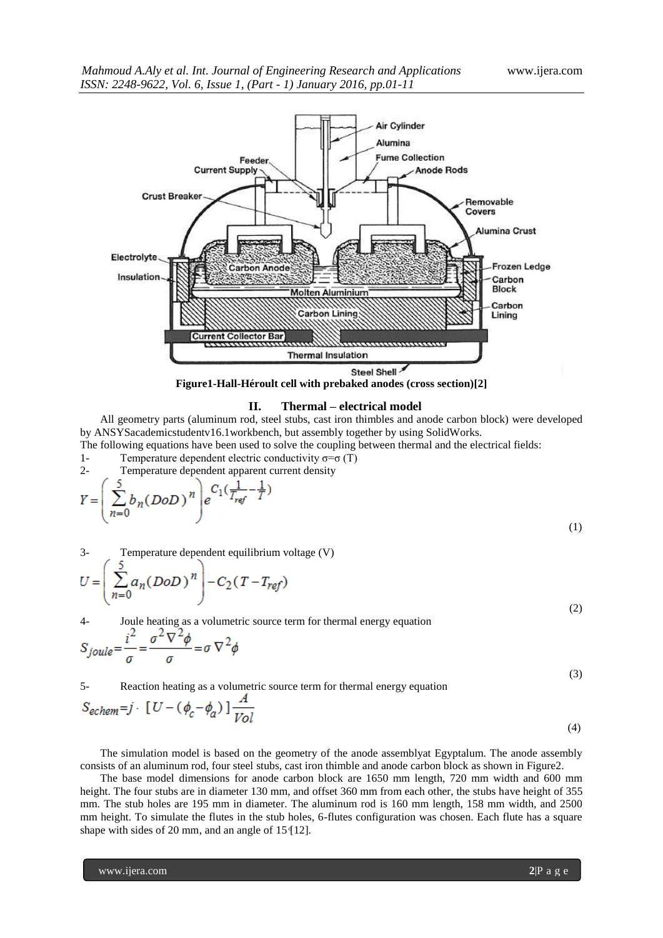

#### **II. Thermal – electrical model**

All geometry parts (aluminum rod, steel stubs, cast iron thimbles and anode carbon block) were developed by ANSYSacademicstudentv16.1workbench, but assembly together by using SolidWorks.

The following equations have been used to solve the coupling between thermal and the electrical fields:

1- Temperature dependent electric conductivity 
$$
\sigma = \sigma(T)
$$
 2- Temperature dependent apparent current density

$$
Y = \left(\sum_{n=0}^{5} b_n (DoD)^n\right) e^{C_1\left(\frac{1}{T_{ref}} - \frac{1}{T}\right)}
$$

3- Temperature dependent equilibrium voltage (V)

$$
U = \left(\sum_{n=0}^{J} a_n (DoD)^n\right) - C_2 (T - T_{ref})
$$
\n(2)

4- Joule heating as a volumetric source term for thermal energy equation  $i^2 \frac{2}{\sigma^2} \nabla^2 A$ 

$$
S_{joule} = \frac{1}{\sigma} = \frac{\sigma + \gamma}{\sigma} = \sigma \nabla^2 \phi
$$
\n<sup>(3)</sup>

(1)

5- Reaction heating as a volumetric source term for thermal energy equation  $\boldsymbol{A}$ 

$$
S_{echem} = j \cdot [U - (\phi_c - \phi_a)] \frac{1}{Vol}
$$
\n<sup>(4)</sup>

The simulation model is based on the geometry of the anode assemblyat Egyptalum. The anode assembly consists of an aluminum rod, four steel stubs, cast iron thimble and anode carbon block as shown in Figure2.

The base model dimensions for anode carbon block are 1650 mm length, 720 mm width and 600 mm height. The four stubs are in diameter 130 mm, and offset 360 mm from each other, the stubs have height of 355 mm. The stub holes are 195 mm in diameter. The aluminum rod is 160 mm length, 158 mm width, and 2500 mm height. To simulate the flutes in the stub holes, 6-flutes configuration was chosen. Each flute has a square shape with sides of 20 mm, and an angle of  $15 \frac{q}{12}$ .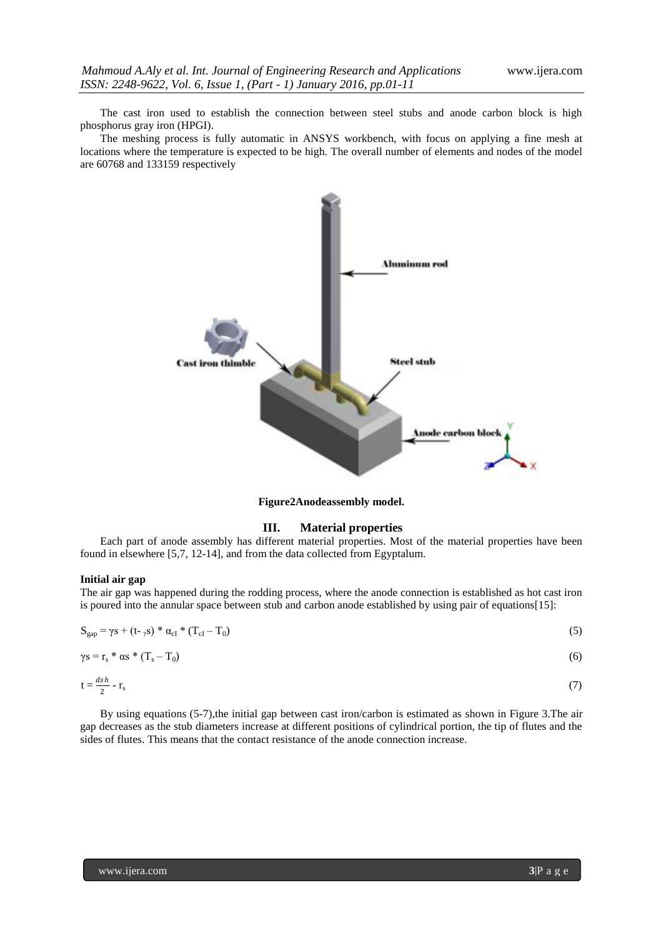The cast iron used to establish the connection between steel stubs and anode carbon block is high phosphorus gray iron (HPGI).

The meshing process is fully automatic in ANSYS workbench, with focus on applying a fine mesh at locations where the temperature is expected to be high. The overall number of elements and nodes of the model are 60768 and 133159 respectively



**Figure2Anodeassembly model.**

### **III. Material properties**

Each part of anode assembly has different material properties. Most of the material properties have been found in elsewhere [5,7, 12-14], and from the data collected from Egyptalum.

# **Initial air gap**

2

The air gap was happened during the rodding process, where the anode connection is established as hot cast iron is poured into the annular space between stub and carbon anode established by using pair of equations[15]:

| $S_{gap} = \gamma s + (t - \gamma s) * \alpha_{cI} * (T_{cI} - T_0)$ | (5) |
|----------------------------------------------------------------------|-----|
| $\gamma s = r_s * \alpha s * (T_s - T_0)$                            | (6) |
| $t = \frac{dsh}{2} - r_s$                                            |     |

By using equations 
$$
(5-7)
$$
, the initial gap between cast iron/carbon is estimated as shown in Figure 3. The air

gap decreases as the stub diameters increase at different positions of cylindrical portion, the tip of flutes and the sides of flutes. This means that the contact resistance of the anode connection increase.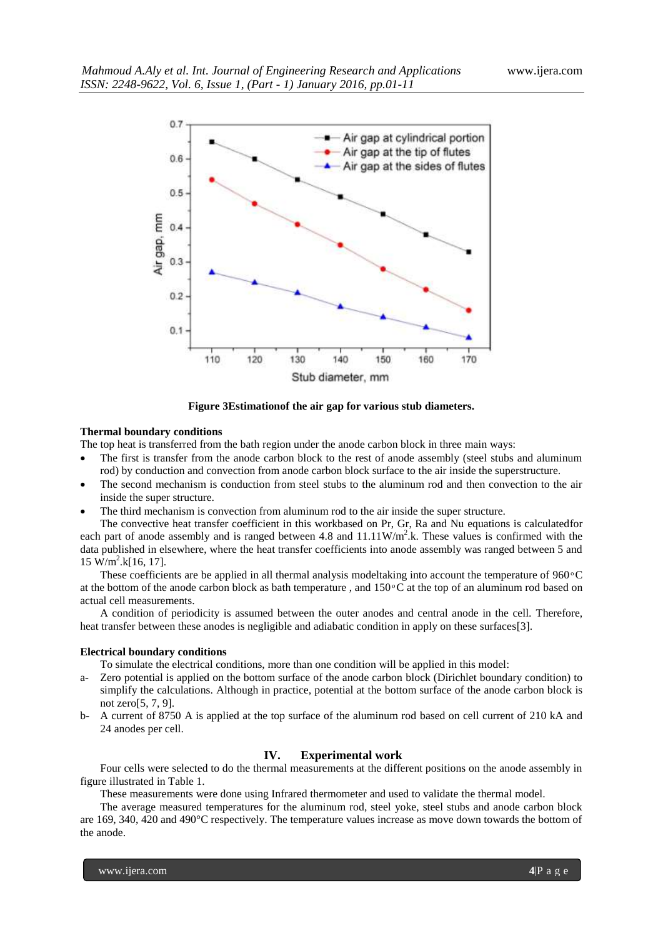

**Figure 3Estimationof the air gap for various stub diameters.**

# **Thermal boundary conditions**

The top heat is transferred from the bath region under the anode carbon block in three main ways:

- The first is transfer from the anode carbon block to the rest of anode assembly (steel stubs and aluminum rod) by conduction and convection from anode carbon block surface to the air inside the superstructure.
- The second mechanism is conduction from steel stubs to the aluminum rod and then convection to the air inside the super structure.
- The third mechanism is convection from aluminum rod to the air inside the super structure.

The convective heat transfer coefficient in this workbased on Pr, Gr, Ra and Nu equations is calculatedfor each part of anode assembly and is ranged between 4.8 and  $11.11 \text{W/m}^2$ .k. These values is confirmed with the data published in elsewhere, where the heat transfer coefficients into anode assembly was ranged between 5 and  $15 \text{ W/m}^2$ .k[16, 17].

These coefficients are be applied in all thermal analysis modeltaking into account the temperature of  $960\degree\text{C}$ at the bottom of the anode carbon block as bath temperature, and  $150\degree C$  at the top of an aluminum rod based on actual cell measurements.

A condition of periodicity is assumed between the outer anodes and central anode in the cell. Therefore, heat transfer between these anodes is negligible and adiabatic condition in apply on these surfaces [3].

## **Electrical boundary conditions**

To simulate the electrical conditions, more than one condition will be applied in this model:

- a- Zero potential is applied on the bottom surface of the anode carbon block (Dirichlet boundary condition) to simplify the calculations. Although in practice, potential at the bottom surface of the anode carbon block is not zero[5, 7, 9].
- b- A current of 8750 A is applied at the top surface of the aluminum rod based on cell current of 210 kA and 24 anodes per cell.

# **IV. Experimental work**

Four cells were selected to do the thermal measurements at the different positions on the anode assembly in figure illustrated in Table 1.

These measurements were done using Infrared thermometer and used to validate the thermal model.

The average measured temperatures for the aluminum rod, steel yoke, steel stubs and anode carbon block are 169, 340, 420 and 490°C respectively. The temperature values increase as move down towards the bottom of the anode.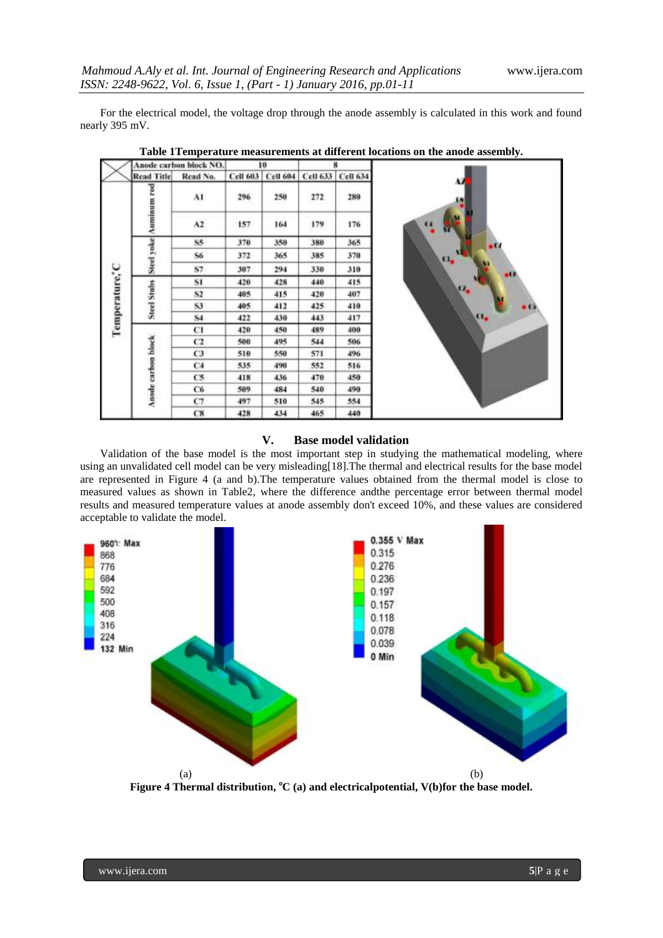For the electrical model, the voltage drop through the anode assembly is calculated in this work and found nearly 395 mV.

|                | Anode carbon block NO. |               | 10              |                 | ×        |                 |      |
|----------------|------------------------|---------------|-----------------|-----------------|----------|-----------------|------|
|                | <b>Read Title</b>      | Read No.      | <b>Cell 603</b> | <b>Cell 604</b> | Cell 633 | <b>Cell 634</b> |      |
| Temperature, C | Auminum rod            | $\mathbf{A1}$ | 296             | 250<br>69 O.    | 272      | 280             | М    |
|                |                        | A2            | 157             | 164             | 179      | 176             | 64   |
|                | Steel yoke             | 85            | 370             | 350             | 380      | 365             | - 17 |
|                |                        | S6            | 372             | 365             | 385      | 370             | c.   |
|                |                        | S7            | 307             | 294             | 330      | 310             | -0   |
|                | <b>Steel Stubs</b>     | 81            | 420             | 428             | 440      | 415             |      |
|                |                        | S2            | 405             | 415             | 420      | 407             | x.   |
|                |                        | 83            | 405             | 412             | 425      | 410             |      |
|                |                        | 84            | 422             | 430             | 443      | 417             | o.   |
|                | Anode carbon block     | C1            | 420             | 450             | 489      | 400             |      |
|                |                        | C2            | 500             | 495             | 544      | 506             |      |
|                |                        | C3            | 510             | 550             | 571      | 496             |      |
|                |                        | C4            | 535             | 490             | 552      | 516             |      |
|                |                        | C5            | 418             | 436             | 470      | 450             |      |
|                |                        | C6            | 509             | 484             | 540      | 490             |      |
|                |                        | C7            | 497             | 510             | 545      | 554             |      |
|                |                        | C8            | 428             | 434             | 465      | 440             |      |

**Table 1Temperature measurements at different locations on the anode assembly.**

# **V. Base model validation**

Validation of the base model is the most important step in studying the mathematical modeling, where using an unvalidated cell model can be very misleading[18].The thermal and electrical results for the base model are represented in Figure 4 (a and b).The temperature values obtained from the thermal model is close to measured values as shown in Table2, where the difference andthe percentage error between thermal model results and measured temperature values at anode assembly don't exceed 10%, and these values are considered acceptable to validate the model.



Figure 4 Thermal distribution, <sup>o</sup>C (a) and electricalpotential, V(b)for the base model.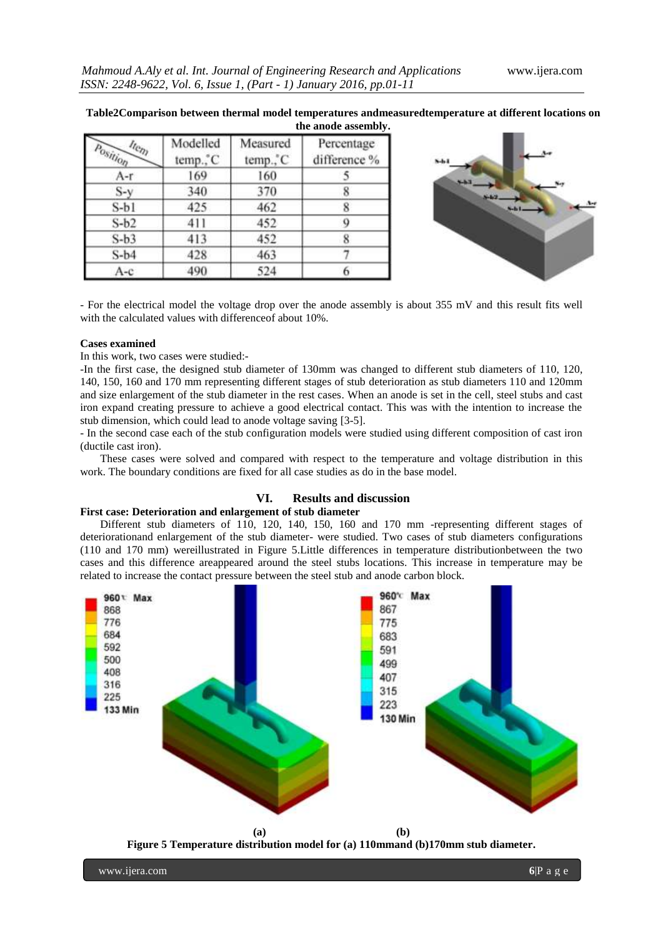524

|                                           |                      |                      | the anode assembly.        |
|-------------------------------------------|----------------------|----------------------|----------------------------|
| $a_{\alpha}$<br>$P_{0}$ <sub>SItiop</sub> | Modelled<br>temp., C | Measured<br>temp., C | Percentage<br>difference % |
| A-r                                       | 169                  | 160                  |                            |
| $S-y$                                     | 340                  | 370                  |                            |
| $S-b1$                                    | 425                  | 462                  |                            |
| $S-b2$                                    | 411                  | 452                  |                            |
| $S-b3$                                    | 413                  | 452                  |                            |
| $S-b4$                                    | 428                  | 463                  |                            |

# **Table2Comparison between thermal model temperatures andmeasuredtemperature at different locations on**

- For the electrical model the voltage drop over the anode assembly is about 355 mV and this result fits well with the calculated values with differenceof about 10%.

6

#### **Cases examined**

 $A-c$ 

In this work, two cases were studied:-

490

-In the first case, the designed stub diameter of 130mm was changed to different stub diameters of 110, 120, 140, 150, 160 and 170 mm representing different stages of stub deterioration as stub diameters 110 and 120mm and size enlargement of the stub diameter in the rest cases. When an anode is set in the cell, steel stubs and cast iron expand creating pressure to achieve a good electrical contact. This was with the intention to increase the stub dimension, which could lead to anode voltage saving [3-5].

- In the second case each of the stub configuration models were studied using different composition of cast iron (ductile cast iron).

These cases were solved and compared with respect to the temperature and voltage distribution in this work. The boundary conditions are fixed for all case studies as do in the base model.

# **VI. Results and discussion**

# **First case: Deterioration and enlargement of stub diameter**

Different stub diameters of 110, 120, 140, 150, 160 and 170 mm -representing different stages of deteriorationand enlargement of the stub diameter- were studied. Two cases of stub diameters configurations (110 and 170 mm) wereillustrated in Figure 5.Little differences in temperature distributionbetween the two cases and this difference areappeared around the steel stubs locations. This increase in temperature may be related to increase the contact pressure between the steel stub and anode carbon block.



**Figure 5 Temperature distribution model for (a) 110mmand (b)170mm stub diameter.**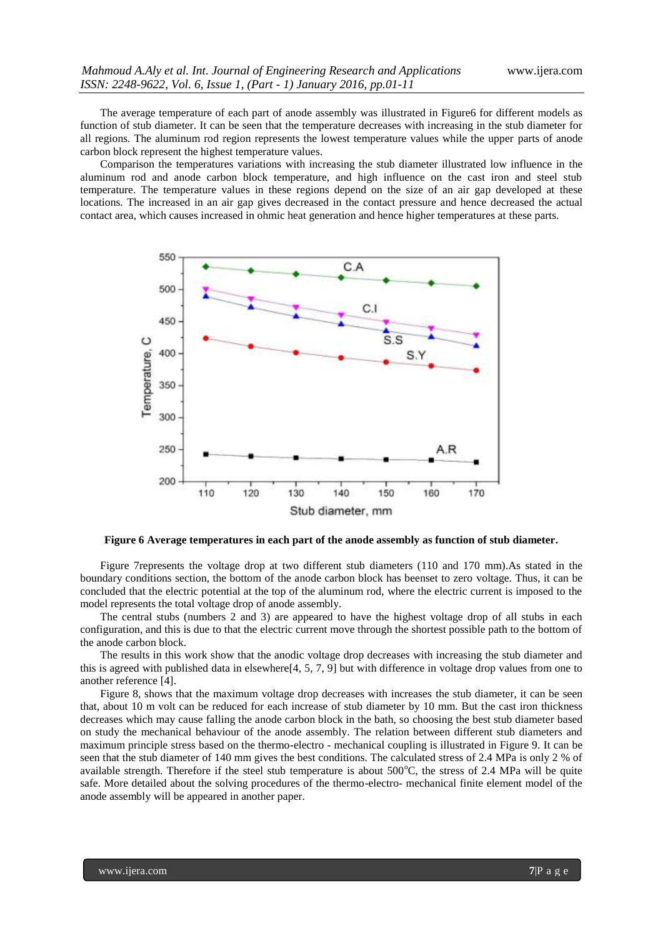The average temperature of each part of anode assembly was illustrated in Figure6 for different models as function of stub diameter. It can be seen that the temperature decreases with increasing in the stub diameter for all regions. The aluminum rod region represents the lowest temperature values while the upper parts of anode carbon block represent the highest temperature values.

Comparison the temperatures variations with increasing the stub diameter illustrated low influence in the aluminum rod and anode carbon block temperature, and high influence on the cast iron and steel stub temperature. The temperature values in these regions depend on the size of an air gap developed at these locations. The increased in an air gap gives decreased in the contact pressure and hence decreased the actual contact area, which causes increased in ohmic heat generation and hence higher temperatures at these parts.



**Figure 6 Average temperatures in each part of the anode assembly as function of stub diameter.**

Figure 7represents the voltage drop at two different stub diameters (110 and 170 mm).As stated in the boundary conditions section, the bottom of the anode carbon block has beenset to zero voltage. Thus, it can be concluded that the electric potential at the top of the aluminum rod, where the electric current is imposed to the model represents the total voltage drop of anode assembly.

The central stubs (numbers 2 and 3) are appeared to have the highest voltage drop of all stubs in each configuration, and this is due to that the electric current move through the shortest possible path to the bottom of the anode carbon block.

The results in this work show that the anodic voltage drop decreases with increasing the stub diameter and this is agreed with published data in elsewhere<sup>[4, 5, 7, 9]</sup> but with difference in voltage drop values from one to another reference [4].

Figure 8, shows that the maximum voltage drop decreases with increases the stub diameter, it can be seen that, about 10 m volt can be reduced for each increase of stub diameter by 10 mm. But the cast iron thickness decreases which may cause falling the anode carbon block in the bath, so choosing the best stub diameter based on study the mechanical behaviour of the anode assembly. The relation between different stub diameters and maximum principle stress based on the thermo-electro - mechanical coupling is illustrated in Figure 9. It can be seen that the stub diameter of 140 mm gives the best conditions. The calculated stress of 2.4 MPa is only 2 % of available strength. Therefore if the steel stub temperature is about  $500^{\circ}$ C, the stress of 2.4 MPa will be quite safe. More detailed about the solving procedures of the thermo-electro- mechanical finite element model of the anode assembly will be appeared in another paper.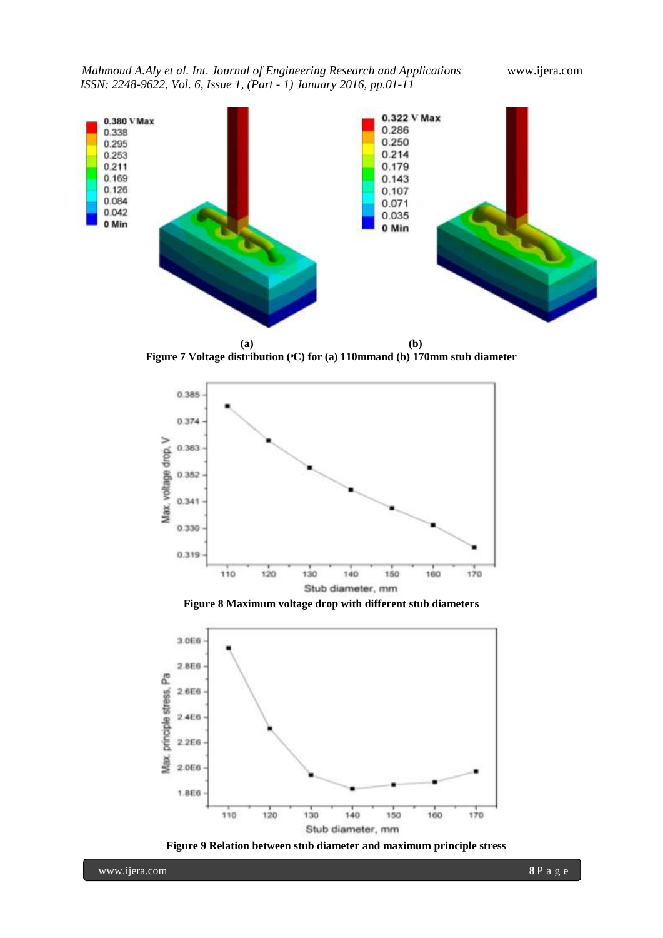

**Figure 7 Voltage distribution (ͦC) for (a) 110mmand (b) 170mm stub diameter**



**Figure 8 Maximum voltage drop with different stub diameters**



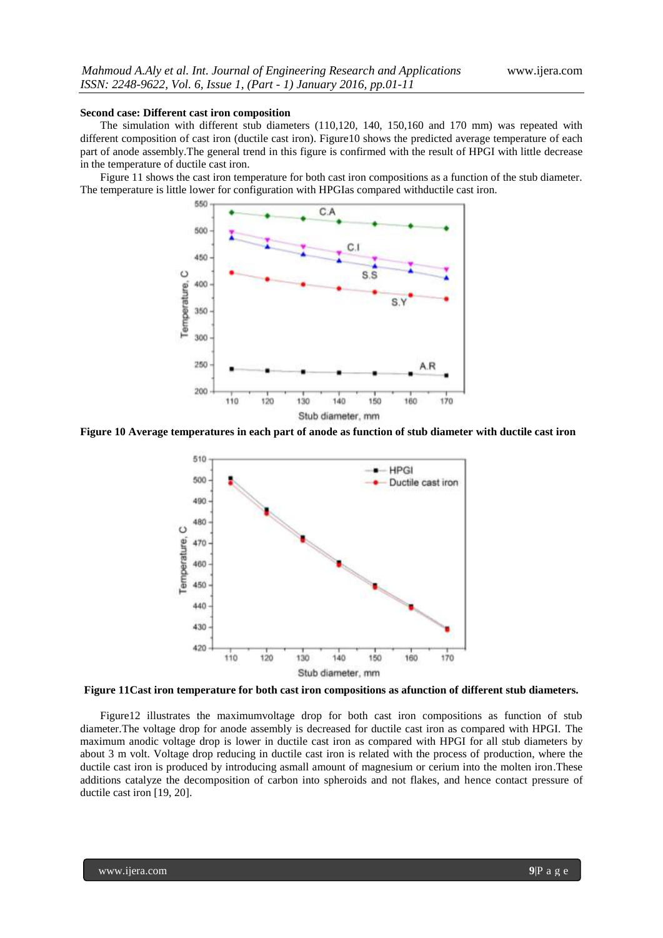#### **Second case: Different cast iron composition**

The simulation with different stub diameters (110,120, 140, 150,160 and 170 mm) was repeated with different composition of cast iron (ductile cast iron). Figure10 shows the predicted average temperature of each part of anode assembly.The general trend in this figure is confirmed with the result of HPGI with little decrease in the temperature of ductile cast iron.

Figure 11 shows the cast iron temperature for both cast iron compositions as a function of the stub diameter. The temperature is little lower for configuration with HPGIas compared withductile cast iron.



**Figure 10 Average temperatures in each part of anode as function of stub diameter with ductile cast iron**





Figure12 illustrates the maximumvoltage drop for both cast iron compositions as function of stub diameter.The voltage drop for anode assembly is decreased for ductile cast iron as compared with HPGI. The maximum anodic voltage drop is lower in ductile cast iron as compared with HPGI for all stub diameters by about 3 m volt. Voltage drop reducing in ductile cast iron is related with the process of production, where the ductile cast iron is produced by introducing asmall amount of magnesium or cerium into the molten iron. These additions catalyze the decomposition of carbon into spheroids and not flakes, and hence contact pressure of ductile cast iron [19, 20].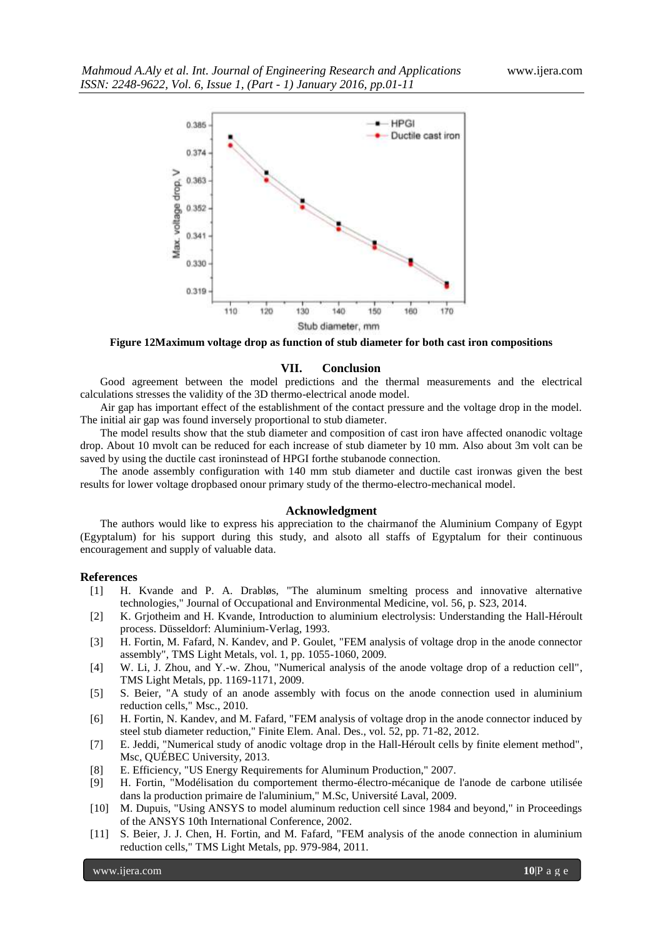

**Figure 12Maximum voltage drop as function of stub diameter for both cast iron compositions**

#### **VII. Conclusion**

Good agreement between the model predictions and the thermal measurements and the electrical calculations stresses the validity of the 3D thermo-electrical anode model.

Air gap has important effect of the establishment of the contact pressure and the voltage drop in the model. The initial air gap was found inversely proportional to stub diameter.

The model results show that the stub diameter and composition of cast iron have affected onanodic voltage drop. About 10 mvolt can be reduced for each increase of stub diameter by 10 mm. Also about 3m volt can be saved by using the ductile cast ironinstead of HPGI forthe stubanode connection.

The anode assembly configuration with 140 mm stub diameter and ductile cast ironwas given the best results for lower voltage dropbased onour primary study of the thermo-electro-mechanical model.

## **Acknowledgment**

The authors would like to express his appreciation to the chairmanof the Aluminium Company of Egypt (Egyptalum) for his support during this study, and alsoto all staffs of Egyptalum for their continuous encouragement and supply of valuable data.

#### **References**

- [1] H. Kvande and P. A. Drabløs, "The aluminum smelting process and innovative alternative technologies," Journal of Occupational and Environmental Medicine, vol. 56, p. S23, 2014.
- [2] K. Grjotheim and H. Kvande, Introduction to aluminium electrolysis: Understanding the Hall-Héroult process. Düsseldorf: Aluminium-Verlag, 1993.
- [3] H. Fortin, M. Fafard, N. Kandev, and P. Goulet, "FEM analysis of voltage drop in the anode connector assembly", TMS Light Metals, vol. 1, pp. 1055-1060, 2009.
- [4] W. Li, J. Zhou, and Y.-w. Zhou, "Numerical analysis of the anode voltage drop of a reduction cell", TMS Light Metals, pp. 1169-1171, 2009.
- [5] S. Beier, "A study of an anode assembly with focus on the anode connection used in aluminium reduction cells," Msc., 2010.
- [6] H. Fortin, N. Kandev, and M. Fafard, "FEM analysis of voltage drop in the anode connector induced by steel stub diameter reduction," Finite Elem. Anal. Des., vol. 52, pp. 71-82, 2012.
- [7] E. Jeddi, "Numerical study of anodic voltage drop in the Hall-Héroult cells by finite element method", Msc, QUÉBEC University, 2013.
- [8] E. Efficiency, "US Energy Requirements for Aluminum Production," 2007.
- [9] H. Fortin, "Modélisation du comportement thermo-électro-mécanique de l'anode de carbone utilisée dans la production primaire de l'aluminium," M.Sc, Université Laval, 2009.
- [10] M. Dupuis, "Using ANSYS to model aluminum reduction cell since 1984 and beyond," in Proceedings of the ANSYS 10th International Conference, 2002.
- [11] S. Beier, J. J. Chen, H. Fortin, and M. Fafard, "FEM analysis of the anode connection in aluminium reduction cells," TMS Light Metals, pp. 979-984, 2011.

www.ijera.com **10**|P a g e